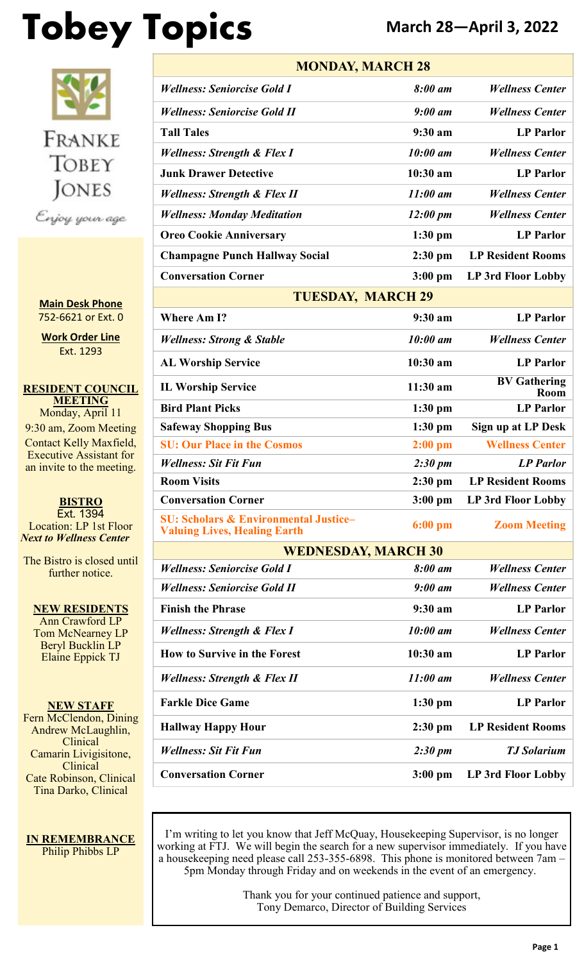# **Tobey Topics March 28—April 3, 2022**



**Main Desk Phone** 752-6621 or Ext. 0

**Work Order Line** Ext. 1293

**RESIDENT COUNCIL MEETING** Monday, April 11 9:30 am, Zoom Meeting Contact Kelly Maxfield, Executive Assistant for an invite to the meeting.

**BISTRO** Ext. 1394 Location: LP 1st Floor *Next to Wellness Center*

The Bistro is closed until further notice.

**NEW RESIDENTS** Ann Crawford LP Tom McNearney LP Beryl Bucklin LP Elaine Eppick TJ

**NEW STAFF** Fern McClendon, Dining Andrew McLaughlin, **Clinical** Camarin Livigisitone, Clinical Cate Robinson, Clinical Tina Darko, Clinical

**IN REMEMBRANCE** Philip Phibbs LP

| <b>MONDAY, MARCH 28</b>                                                                 |                    |                             |  |  |
|-----------------------------------------------------------------------------------------|--------------------|-----------------------------|--|--|
| <b>Wellness: Seniorcise Gold I</b>                                                      | 8:00 am            | <b>Wellness Center</b>      |  |  |
| <b>Wellness: Seniorcise Gold II</b>                                                     | $9:00$ am          | <b>Wellness Center</b>      |  |  |
| <b>Tall Tales</b>                                                                       | 9:30 am            | <b>LP</b> Parlor            |  |  |
| <b>Wellness: Strength &amp; Flex I</b>                                                  | 10:00 am           | <b>Wellness Center</b>      |  |  |
| <b>Junk Drawer Detective</b>                                                            | $10:30$ am         | <b>LP Parlor</b>            |  |  |
| <b>Wellness: Strength &amp; Flex II</b>                                                 | $11:00$ am         | <b>Wellness Center</b>      |  |  |
| <b>Wellness: Monday Meditation</b>                                                      | $12:00 \text{ pm}$ | <b>Wellness Center</b>      |  |  |
| <b>Oreo Cookie Anniversary</b>                                                          | $1:30$ pm          | <b>LP Parlor</b>            |  |  |
| <b>Champagne Punch Hallway Social</b>                                                   | $2:30$ pm          | <b>LP Resident Rooms</b>    |  |  |
| <b>Conversation Corner</b>                                                              | $3:00$ pm          | LP 3rd Floor Lobby          |  |  |
| <b>TUESDAY, MARCH 29</b>                                                                |                    |                             |  |  |
| <b>Where Am I?</b>                                                                      | 9:30 am            | <b>LP</b> Parlor            |  |  |
| <b>Wellness: Strong &amp; Stable</b>                                                    | 10:00 am           | <b>Wellness Center</b>      |  |  |
| <b>AL Worship Service</b>                                                               | 10:30 am           | <b>LP</b> Parlor            |  |  |
| <b>IL Worship Service</b>                                                               | 11:30 am           | <b>BV</b> Gathering<br>Room |  |  |
| <b>Bird Plant Picks</b>                                                                 | $1:30$ pm          | <b>LP Parlor</b>            |  |  |
| <b>Safeway Shopping Bus</b>                                                             | $1:30$ pm          | <b>Sign up at LP Desk</b>   |  |  |
| <b>SU: Our Place in the Cosmos</b>                                                      | $2:00$ pm          | <b>Wellness Center</b>      |  |  |
| <b>Wellness: Sit Fit Fun</b>                                                            | 2:30~pm            | <b>LP</b> Parlor            |  |  |
| <b>Room Visits</b>                                                                      | $2:30$ pm          | <b>LP Resident Rooms</b>    |  |  |
| <b>Conversation Corner</b>                                                              | $3:00$ pm          | LP 3rd Floor Lobby          |  |  |
| <b>SU: Scholars &amp; Environmental Justice-</b><br><b>Valuing Lives, Healing Earth</b> | $6:00 \text{ pm}$  | <b>Zoom Meeting</b>         |  |  |
| <b>WEDNESDAY, MARCH 30</b>                                                              |                    |                             |  |  |
| <b>Wellness: Seniorcise Gold I</b>                                                      | 8:00 am            | <b>Wellness Center</b>      |  |  |
| <b>Wellness: Seniorcise Gold II</b>                                                     | $9:00$ am          | <b>Wellness Center</b>      |  |  |
| <b>Finish the Phrase</b>                                                                | 9:30 am            | <b>LP</b> Parlor            |  |  |
| <b>Wellness: Strength &amp; Flex I</b>                                                  | 10:00 am           | <b>Wellness Center</b>      |  |  |
| <b>How to Survive in the Forest</b>                                                     | 10:30 am           | <b>LP Parlor</b>            |  |  |
| <b>Wellness: Strength &amp; Flex II</b>                                                 | $11:00$ am         | <b>Wellness Center</b>      |  |  |
| <b>Farkle Dice Game</b>                                                                 | $1:30$ pm          | <b>LP</b> Parlor            |  |  |
| <b>Hallway Happy Hour</b>                                                               | $2:30$ pm          | <b>LP Resident Rooms</b>    |  |  |
| <b>Wellness: Sit Fit Fun</b>                                                            | $2:30 \text{ pm}$  | <b>TJ Solarium</b>          |  |  |
| <b>Conversation Corner</b>                                                              | $3:00$ pm          | LP 3rd Floor Lobby          |  |  |

I'm writing to let you know that Jeff McQuay, Housekeeping Supervisor, is no longer working at FTJ. We will begin the search for a new supervisor immediately. If you have a housekeeping need please call 253-355-6898. This phone is monitored between 7am – 5pm Monday through Friday and on weekends in the event of an emergency.

> Thank you for your continued patience and support, Tony Demarco, Director of Building Services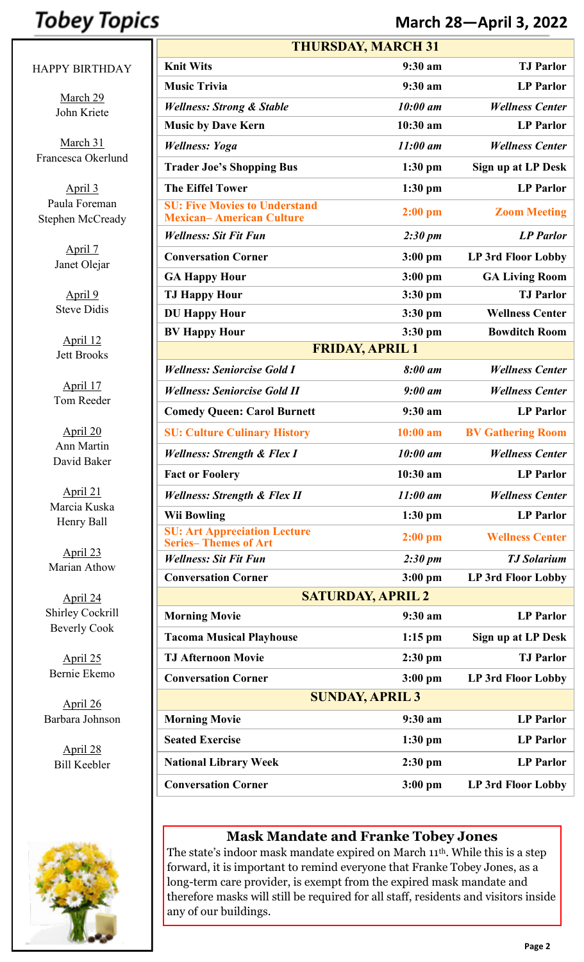## **Tobey Topics**

#### HAPPY BIRTHDAY

March 29 John Kriete

March 31 Francesca Okerlund

April 3 Paula Foreman Stephen McCready

> April 7 Janet Olejar

April 9 Steve Didis

April 12 Jett Brooks

April 17 Tom Reeder

April 20 Ann Martin David Baker

April 21 Marcia Kuska Henry Ball

April 23 Marian Athow

April 24 Shirley Cockrill Beverly Cook

April 25 Bernie Ekemo

April 26 Barbara Johnson

> April 28 Bill Keebler



| <b>THURSDAY, MARCH 31</b>                                               |                        |                           |  |  |
|-------------------------------------------------------------------------|------------------------|---------------------------|--|--|
| <b>Knit Wits</b>                                                        | 9:30 am                | <b>TJ</b> Parlor          |  |  |
| <b>Music Trivia</b>                                                     | 9:30 a m               | <b>LP</b> Parlor          |  |  |
| <b>Wellness: Strong &amp; Stable</b>                                    | 10:00 am               | <b>Wellness Center</b>    |  |  |
| <b>Music by Dave Kern</b>                                               | 10:30 am               | <b>LP Parlor</b>          |  |  |
| <b>Wellness: Yoga</b>                                                   | $11:00$ am             | <b>Wellness Center</b>    |  |  |
| <b>Trader Joe's Shopping Bus</b>                                        | $1:30$ pm              | Sign up at LP Desk        |  |  |
| <b>The Eiffel Tower</b>                                                 | $1:30$ pm              | <b>LP</b> Parlor          |  |  |
| <b>SU: Five Movies to Understand</b><br><b>Mexican-American Culture</b> | $2:00$ pm              | <b>Zoom Meeting</b>       |  |  |
| <b>Wellness: Sit Fit Fun</b>                                            | $2:30 \text{ pm}$      | <b>LP</b> Parlor          |  |  |
| <b>Conversation Corner</b>                                              | $3:00$ pm              | <b>LP 3rd Floor Lobby</b> |  |  |
| <b>GA Happy Hour</b>                                                    | $3:00$ pm              | <b>GA Living Room</b>     |  |  |
| <b>TJ Happy Hour</b>                                                    | $3:30$ pm              | <b>TJ Parlor</b>          |  |  |
| <b>DU Happy Hour</b>                                                    | $3:30$ pm              | <b>Wellness Center</b>    |  |  |
| <b>BV Happy Hour</b>                                                    | $3:30$ pm              | <b>Bowditch Room</b>      |  |  |
|                                                                         | <b>FRIDAY, APRIL 1</b> |                           |  |  |
| <b>Wellness: Seniorcise Gold I</b>                                      | 8:00 am                | <b>Wellness Center</b>    |  |  |
| <b>Wellness: Seniorcise Gold II</b>                                     | $9:00$ am              | <b>Wellness Center</b>    |  |  |
| <b>Comedy Queen: Carol Burnett</b>                                      | $9:30$ am              | <b>LP</b> Parlor          |  |  |
| <b>SU: Culture Culinary History</b>                                     | $10:00$ am             | <b>BV Gathering Room</b>  |  |  |
| <b>Wellness: Strength &amp; Flex I</b>                                  | 10:00 am               | <b>Wellness Center</b>    |  |  |
| <b>Fact or Foolery</b>                                                  | 10:30 am               | <b>LP Parlor</b>          |  |  |
| <b>Wellness: Strength &amp; Flex II</b>                                 | $11:00$ am             | <b>Wellness Center</b>    |  |  |
| <b>Wii Bowling</b>                                                      | $1:30$ pm              | <b>LP</b> Parlor          |  |  |
| <b>SU: Art Appreciation Lecture</b><br><b>Series-Themes of Art</b>      | $2:00$ pm              | <b>Wellness Center</b>    |  |  |
| <b>Wellness: Sit Fit Fun</b>                                            | $2:30 \text{ pm}$      | <b>TJ</b> Solarium        |  |  |
| <b>Conversation Corner</b>                                              | $3:00$ pm              | LP 3rd Floor Lobby        |  |  |
| <b>SATURDAY, APRIL 2</b>                                                |                        |                           |  |  |
| <b>Morning Movie</b>                                                    | 9:30 am                | <b>LP</b> Parlor          |  |  |
| <b>Tacoma Musical Playhouse</b>                                         | $1:15$ pm              | Sign up at LP Desk        |  |  |
| <b>TJ Afternoon Movie</b>                                               | $2:30$ pm              | <b>TJ Parlor</b>          |  |  |
| <b>Conversation Corner</b>                                              | $3:00$ pm              | LP 3rd Floor Lobby        |  |  |
| <b>SUNDAY, APRIL 3</b>                                                  |                        |                           |  |  |
| <b>Morning Movie</b>                                                    | 9:30 am                | <b>LP Parlor</b>          |  |  |
| <b>Seated Exercise</b>                                                  | $1:30$ pm              | <b>LP Parlor</b>          |  |  |
| <b>National Library Week</b>                                            | $2:30$ pm              | <b>LP</b> Parlor          |  |  |
| <b>Conversation Corner</b>                                              | $3:00$ pm              | <b>LP 3rd Floor Lobby</b> |  |  |

**March 28—April 3, 2022**

#### **Mask Mandate and Franke Tobey Jones**

The state's indoor mask mandate expired on March 11th. While this is a step forward, it is important to remind everyone that Franke Tobey Jones, as a long-term care provider, is exempt from the expired mask mandate and therefore masks will still be required for all staff, residents and visitors inside any of our buildings.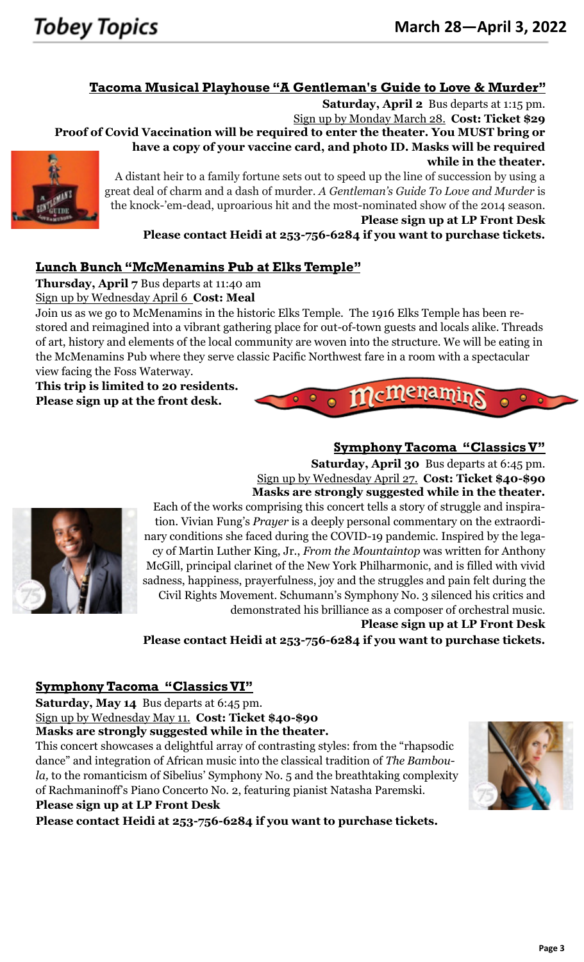#### **Tacoma Musical Playhouse "A Gentleman's Guide to Love & Murder"**

**Saturday, April 2** Bus departs at 1:15 pm.

Sign up by Monday March 28. **Cost: Ticket \$29 Proof of Covid Vaccination will be required to enter the theater. You MUST bring or have a copy of your vaccine card, and photo ID. Masks will be required while in the theater.**



A distant heir to a family fortune sets out to speed up the line of succession by using a great deal of charm and a dash of murder. *A Gentleman's Guide To Love and Murder* is the knock-'em-dead, uproarious hit and the most-nominated show of the 2014 season. **Please sign up at LP Front Desk**

**Please contact Heidi at 253-756-6284 if you want to purchase tickets.**

#### **Lunch Bunch "McMenamins Pub at Elks Temple"**

**Thursday, April 7** Bus departs at 11:40 am

Sign up by Wednesday April 6 **Cost: Meal**

Join us as we go to McMenamins in the historic Elks Temple. The 1916 Elks Temple has been restored and reimagined into a vibrant gathering place for out-of-town guests and locals alike. Threads of art, history and elements of the local community are woven into the structure. We will be eating in the McMenamins Pub where they serve classic Pacific Northwest fare in a room with a spectacular view facing the Foss Waterway.

**This trip is limited to 20 residents. Please sign up at the front desk.**

#### **Symphony Tacoma "Classics V"**

**Saturday, April 30** Bus departs at 6:45 pm. Sign up by Wednesday April 27. **Cost: Ticket \$40-\$90 Masks are strongly suggested while in the theater.**



Each of the works comprising this concert tells a story of struggle and inspiration. Vivian Fung's *Prayer* is a deeply personal commentary on the extraordinary conditions she faced during the COVID-19 pandemic. Inspired by the legacy of Martin Luther King, Jr., *From the Mountaintop* was written for Anthony McGill, principal clarinet of the New York Philharmonic, and is filled with vivid sadness, happiness, prayerfulness, joy and the struggles and pain felt during the Civil Rights Movement. Schumann's Symphony No. 3 silenced his critics and demonstrated his brilliance as a composer of orchestral music.

 $\bullet$ 

#### **Please sign up at LP Front Desk**

**Please contact Heidi at 253-756-6284 if you want to purchase tickets.**

#### **Symphony Tacoma "Classics VI"**

**Saturday, May 14** Bus departs at 6:45 pm.

Sign up by Wednesday May 11. **Cost: Ticket \$40-\$90**

**Masks are strongly suggested while in the theater.**

This concert showcases a delightful array of contrasting styles: from the "rhapsodic dance" and integration of African music into the classical tradition of *The Bamboula,* to the romanticism of Sibelius' Symphony No. 5 and the breathtaking complexity of Rachmaninoff's Piano Concerto No. 2, featuring pianist Natasha Paremski. **Please sign up at LP Front Desk**

**Please contact Heidi at 253-756-6284 if you want to purchase tickets.**

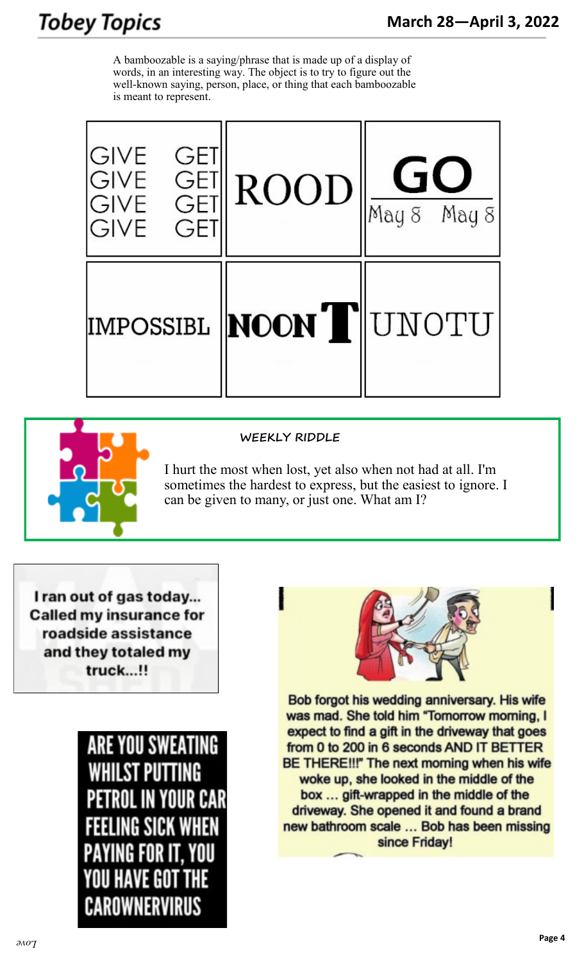## **Tobey Topics**

A bamboozable is a saying/phrase that is made up of a display of words, in an interesting way. The object is to try to figure out the well-known saying, person, place, or thing that each bamboozable is meant to represent.



#### **WEEKLY RIDDLE**

I hurt the most when lost, yet also when not had at all. I'm sometimes the hardest to express, but the easiest to ignore. I can be given to many, or just one. What am I?

I ran out of gas today... **Called my insurance for** roadside assistance and they totaled my truck...!!





Bob forgot his wedding anniversary. His wife was mad. She told him "Tomorrow morning, I expect to find a gift in the driveway that goes from 0 to 200 in 6 seconds AND IT BETTER BE THERE!!!" The next morning when his wife woke up, she looked in the middle of the box ... gift-wrapped in the middle of the driveway. She opened it and found a brand new bathroom scale ... Bob has been missing since Friday!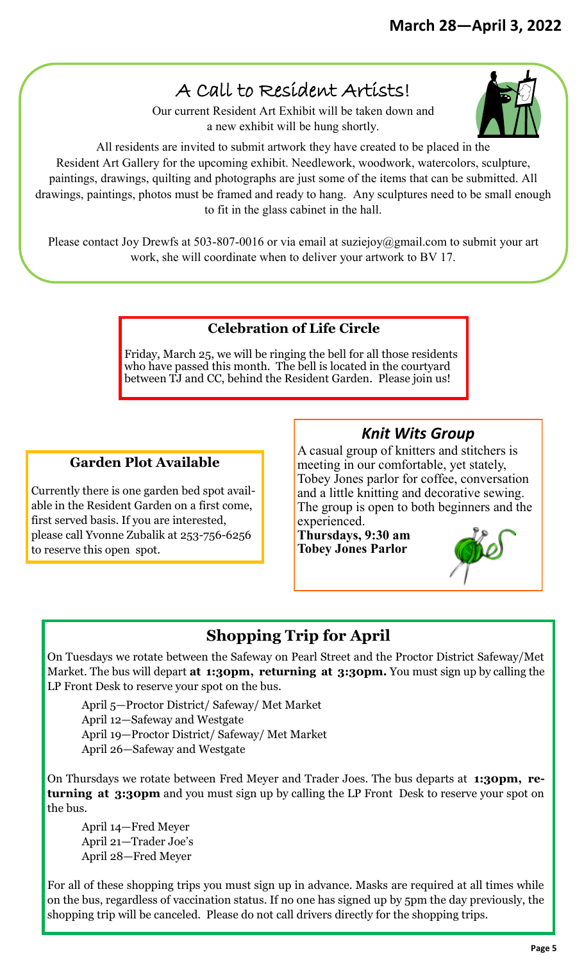## A Call to Resident Artists!

Our current Resident Art Exhibit will be taken down and a new exhibit will be hung shortly.

All residents are invited to submit artwork they have created to be placed in the Resident Art Gallery for the upcoming exhibit. Needlework, woodwork, watercolors, sculpture, paintings, drawings, quilting and photographs are just some of the items that can be submitted. All drawings, paintings, photos must be framed and ready to hang. Any sculptures need to be small enough to fit in the glass cabinet in the hall.

Please contact Joy Drewfs at 503-807-0016 or via email at suziejoy@gmail.com to submit your art work, she will coordinate when to deliver your artwork to BV 17.

#### **Celebration of Life Circle**

Friday, March 25, we will be ringing the bell for all those residents who have passed this month. The bell is located in the courtyard between TJ and CC, behind the Resident Garden. Please join us!

#### **Garden Plot Available**

Currently there is one garden bed spot available in the Resident Garden on a first come, first served basis. If you are interested, please call Yvonne Zubalik at 253-756-6256 to reserve this open spot.

#### *Knit Wits Group*

A casual group of knitters and stitchers is meeting in our comfortable, yet stately, Tobey Jones parlor for coffee, conversation and a little knitting and decorative sewing. The group is open to both beginners and the experienced.

**Thursdays, 9:30 am Tobey Jones Parlor**



### **Shopping Trip for April**

On Tuesdays we rotate between the Safeway on Pearl Street and the Proctor District Safeway/Met Market. The bus will depart **at 1:30pm, returning at 3:30pm.** You must sign up by calling the LP Front Desk to reserve your spot on the bus.

April 5—Proctor District/ Safeway/ Met Market

April 12—Safeway and Westgate

April 19—Proctor District/ Safeway/ Met Market

April 26—Safeway and Westgate

On Thursdays we rotate between Fred Meyer and Trader Joes. The bus departs at **1:30pm, returning at 3:30pm** and you must sign up by calling the LP Front Desk to reserve your spot on the bus.

April 14—Fred Meyer April 21—Trader Joe's April 28—Fred Meyer

For all of these shopping trips you must sign up in advance. Masks are required at all times while on the bus, regardless of vaccination status. If no one has signed up by 5pm the day previously, the shopping trip will be canceled. Please do not call drivers directly for the shopping trips.